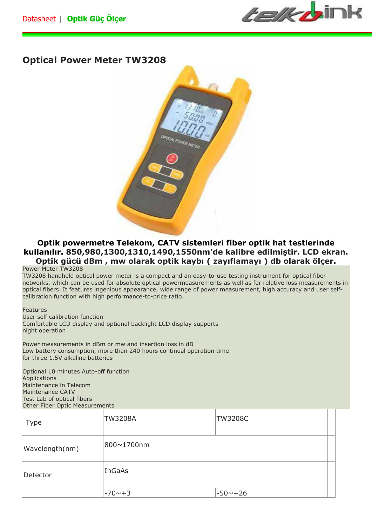*telkb*ink

## **Optical Power Meter TW3208**



## **Optik powermetre Telekom, CATV sistemleri fiber optik hat testlerinde kullanılır. 850,980,1300,1310,1490,1550nm'de kalibre edilmiştir. LCD ekran. Optik gücü dBm , mw olarak optik kaybı ( zayıflamayı ) db olarak ölçer.**

## Power Meter TW3208

TW3208 handheld optical power meter is a compact and an easy-to-use testing instrument for optical fiber networks, which can be used for absolute optical powermeasurements as well as for relative loss measurements in optical fibers. It features ingenious appearance, wide range of power measurement, high accuracy and user selfcalibration function with high performance-to-price ratio.

## Features User self calibration function Comfortable LCD display and optional backlight LCD display supports night operation

Power measurements in dBm or mw and insertion loss in dB Low battery consumption, more than 240 hours continual operation time for three 1.5V alkaline batteries

Optional 10 minutes Auto-off function Applications Maintenance in Telecom Maintenance CATV Test Lab of optical fibers Other Fiber Optic Measurements

| Type           | <b>TW3208A</b> | <b>TW3208C</b> |
|----------------|----------------|----------------|
| Wavelength(nm) | 800~1700nm     |                |
| Detector       | InGaAs         |                |
|                | $-70 - +3$     | $-50 \sim +26$ |